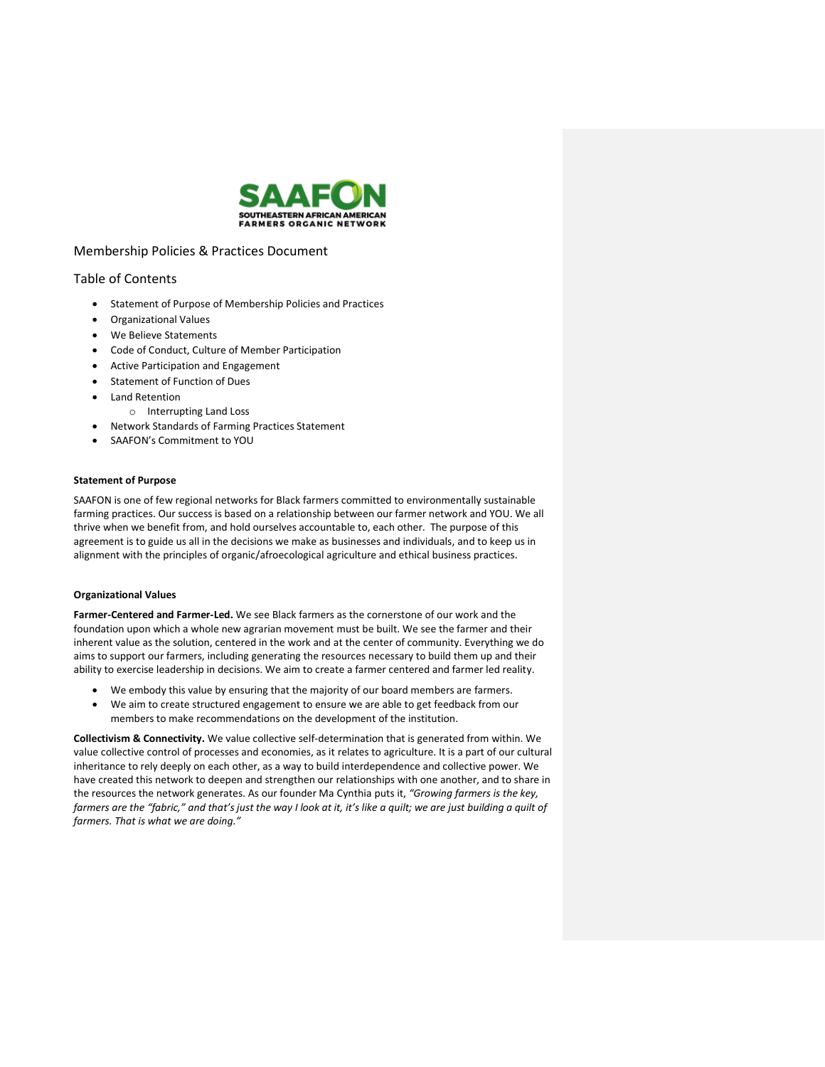

# Membership Policies & Practices Document

## Table of Contents

- Statement of Purpose of Membership Policies and Practices
- Organizational Values
- We Believe Statements
- Code of Conduct, Culture of Member Participation
- Active Participation and Engagement
- Statement of Function of Dues
- Land Retention
	- o Interrupting Land Loss
- Network Standards of Farming Practices Statement
- SAAFON's Commitment to YOU

## **Statement of Purpose**

SAAFON is one of few regional networks for Black farmers committed to environmentally sustainable farming practices. Our success is based on a relationship between our farmer network and YOU. We all thrive when we benefit from, and hold ourselves accountable to, each other. The purpose of this agreement is to guide us all in the decisions we make as businesses and individuals, and to keep us in alignment with the principles of organic/afroecological agriculture and ethical business practices.

## **Organizational Values**

**Farmer-Centered and Farmer-Led.** We see Black farmers as the cornerstone of our work and the foundation upon which a whole new agrarian movement must be built. We see the farmer and their inherent value as the solution, centered in the work and at the center of community. Everything we do aims to support our farmers, including generating the resources necessary to build them up and their ability to exercise leadership in decisions. We aim to create a farmer centered and farmer led reality.

- We embody this value by ensuring that the majority of our board members are farmers.
- We aim to create structured engagement to ensure we are able to get feedback from our members to make recommendations on the development of the institution.

**Collectivism & Connectivity.** We value collective self-determination that is generated from within. We value collective control of processes and economies, as it relates to agriculture. It is a part of our cultural inheritance to rely deeply on each other, as a way to build interdependence and collective power. We have created this network to deepen and strengthen our relationships with one another, and to share in the resources the network generates. As our founder Ma Cynthia puts it, *"Growing farmers is the key, farmers are the "fabric," and that's just the way I look at it, it's like a quilt; we are just building a quilt of farmers. That is what we are doing."*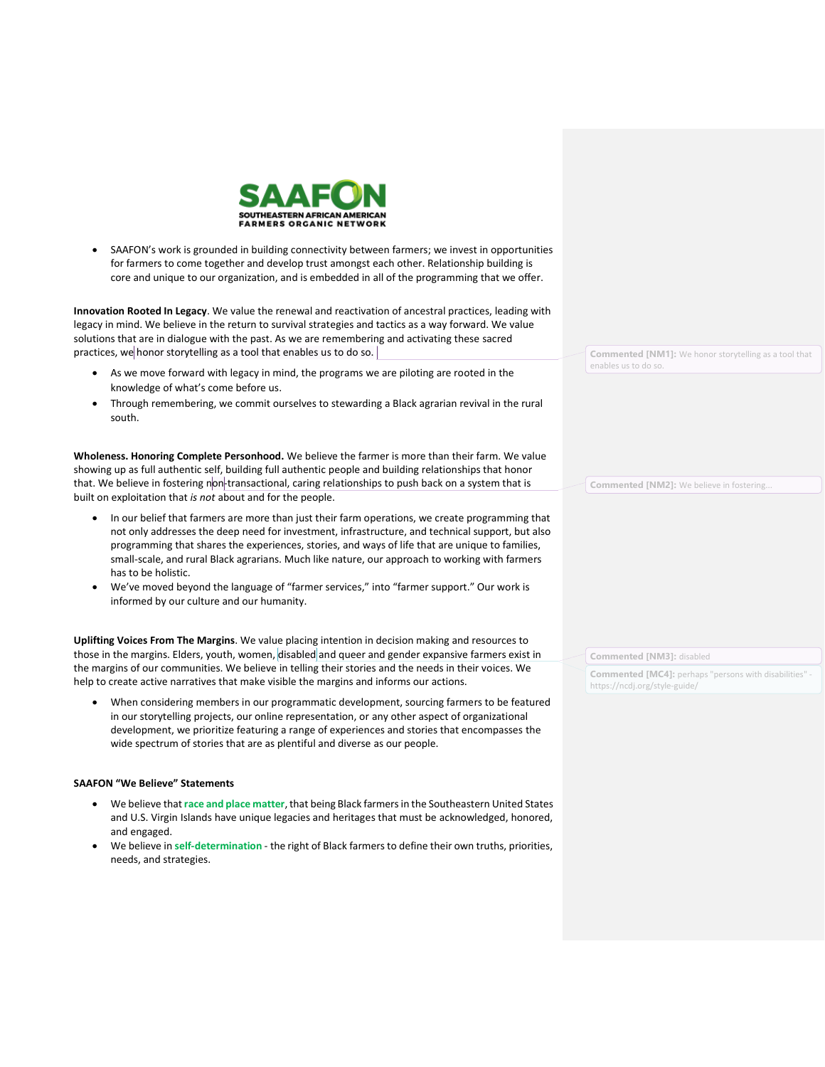

• SAAFON's work is grounded in building connectivity between farmers; we invest in opportunities for farmers to come together and develop trust amongst each other. Relationship building is core and unique to our organization, and is embedded in all of the programming that we offer.

**Innovation Rooted In Legacy**. We value the renewal and reactivation of ancestral practices, leading with legacy in mind. We believe in the return to survival strategies and tactics as a way forward. We value solutions that are in dialogue with the past. As we are remembering and activating these sacred practices, we honor storytelling as a tool that enables us to do so.

- As we move forward with legacy in mind, the programs we are piloting are rooted in the knowledge of what's come before us.
- Through remembering, we commit ourselves to stewarding a Black agrarian revival in the rural south.

**Wholeness. Honoring Complete Personhood.** We believe the farmer is more than their farm. We value showing up as full authentic self, building full authentic people and building relationships that honor that. We believe in fostering non-transactional, caring relationships to push back on a system that is built on exploitation that *is not* about and for the people.

- In our belief that farmers are more than just their farm operations, we create programming that not only addresses the deep need for investment, infrastructure, and technical support, but also programming that shares the experiences, stories, and ways of life that are unique to families, small-scale, and rural Black agrarians. Much like nature, our approach to working with farmers has to be holistic.
- We've moved beyond the language of "farmer services," into "farmer support." Our work is informed by our culture and our humanity.

**Uplifting Voices From The Margins**. We value placing intention in decision making and resources to those in the margins. Elders, youth, women, disabled and queer and gender expansive farmers exist in the margins of our communities. We believe in telling their stories and the needs in their voices. We help to create active narratives that make visible the margins and informs our actions.

• When considering members in our programmatic development, sourcing farmers to be featured in our storytelling projects, our online representation, or any other aspect of organizational development, we prioritize featuring a range of experiences and stories that encompasses the wide spectrum of stories that are as plentiful and diverse as our people.

#### **SAAFON "We Believe" Statements**

- We believe that **race and place matter**, that being Black farmers in the Southeastern United States and U.S. Virgin Islands have unique legacies and heritages that must be acknowledged, honored, and engaged.
- We believe in **self-determination** the right of Black farmers to define their own truths, priorities, needs, and strategies.

**Commented [NM1]:** We honor storytelling as a tool that enables us to do so.

**Commented [NM2]:** We believe in fostering...

**Commented [NM3]:** disabled

**Commented [MC4]:** perhaps "persons with disabilities" https://ncdj.org/style-guide/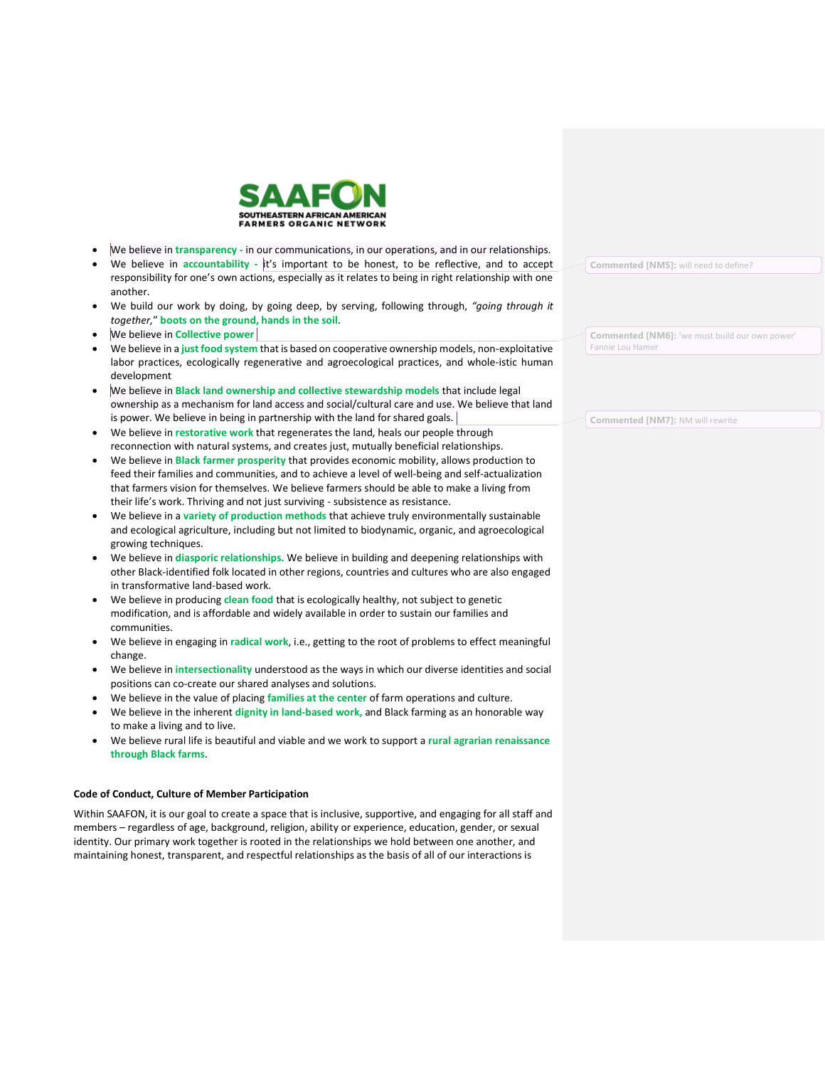

- We believe in **transparency -** in our communications, in our operations, and in our relationships.
- We believe in **accountability -** it's important to be honest, to be reflective, and to accept responsibility for one's own actions, especially as it relates to being in right relationship with one another.
- We build our work by doing, by going deep, by serving, following through, *"going through it together,*" **boots on the ground, hands in the soil**.
- We believe in **Collective power**
- We believe in a **just food system** that is based on cooperative ownership models, non-exploitative labor practices, ecologically regenerative and agroecological practices, and whole-istic human development
- We believe in **Black land ownership and collective stewardship models** that include legal ownership as a mechanism for land access and social/cultural care and use. We believe that land is power. We believe in being in partnership with the land for shared goals.
- We believe in **restorative work** that regenerates the land, heals our people through reconnection with natural systems, and creates just, mutually beneficial relationships.
- We believe in **Black farmer prosperity** that provides economic mobility, allows production to feed their families and communities, and to achieve a level of well-being and self-actualization that farmers vision for themselves. We believe farmers should be able to make a living from their life's work. Thriving and not just surviving - subsistence as resistance.
- We believe in a **variety of production methods** that achieve truly environmentally sustainable and ecological agriculture, including but not limited to biodynamic, organic, and agroecological growing techniques.
- We believe in **diasporic relationships.** We believe in building and deepening relationships with other Black-identified folk located in other regions, countries and cultures who are also engaged in transformative land-based work.
- We believe in producing **clean food** that is ecologically healthy, not subject to genetic modification, and is affordable and widely available in order to sustain our families and communities.
- We believe in engaging in **radical work**, i.e., getting to the root of problems to effect meaningful change.
- We believe in **intersectionality** understood as the ways in which our diverse identities and social positions can co-create our shared analyses and solutions.
- We believe in the value of placing **families at the center** of farm operations and culture.
- We believe in the inherent **dignity in land-based work,** and Black farming as an honorable way to make a living and to live.
- We believe rural life is beautiful and viable and we work to support a **rural agrarian renaissance through Black farms**.

#### **Code of Conduct, Culture of Member Participation**

Within SAAFON, it is our goal to create a space that is inclusive, supportive, and engaging for all staff and members – regardless of age, background, religion, ability or experience, education, gender, or sexual identity. Our primary work together is rooted in the relationships we hold between one another, and maintaining honest, transparent, and respectful relationships as the basis of all of our interactions is

**Commented [NM5]:** will need to define?

**Commented [NM6]:** 'we must build our own power' Fannie Lou Hamer

**Commented [NM7]:** NM will rewrite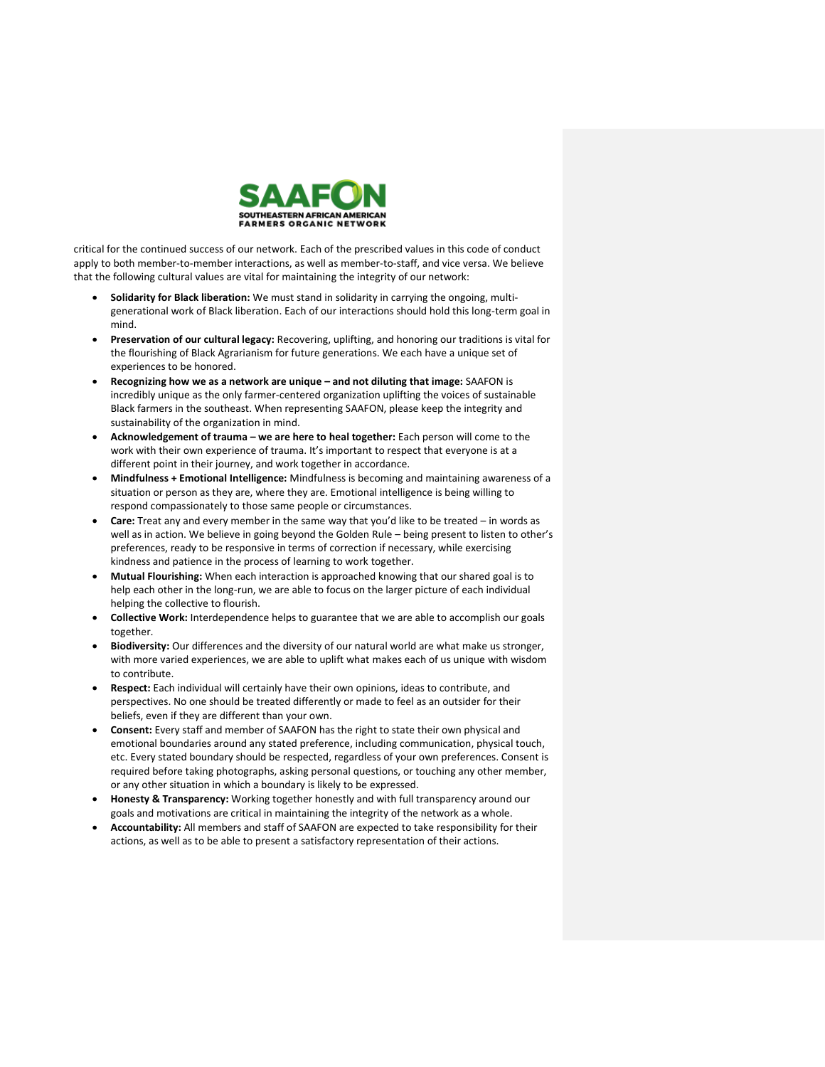

critical for the continued success of our network. Each of the prescribed values in this code of conduct apply to both member-to-member interactions, as well as member-to-staff, and vice versa. We believe that the following cultural values are vital for maintaining the integrity of our network:

- **Solidarity for Black liberation:** We must stand in solidarity in carrying the ongoing, multigenerational work of Black liberation. Each of our interactions should hold this long-term goal in mind.
- **Preservation of our cultural legacy:** Recovering, uplifting, and honoring our traditions is vital for the flourishing of Black Agrarianism for future generations. We each have a unique set of experiences to be honored.
- **Recognizing how we as a network are unique – and not diluting that image:** SAAFON is incredibly unique as the only farmer-centered organization uplifting the voices of sustainable Black farmers in the southeast. When representing SAAFON, please keep the integrity and sustainability of the organization in mind.
- **Acknowledgement of trauma – we are here to heal together:** Each person will come to the work with their own experience of trauma. It's important to respect that everyone is at a different point in their journey, and work together in accordance.
- **Mindfulness + Emotional Intelligence:** Mindfulness is becoming and maintaining awareness of a situation or person as they are, where they are. Emotional intelligence is being willing to respond compassionately to those same people or circumstances.
- **Care:** Treat any and every member in the same way that you'd like to be treated in words as well as in action. We believe in going beyond the Golden Rule – being present to listen to other's preferences, ready to be responsive in terms of correction if necessary, while exercising kindness and patience in the process of learning to work together.
- **Mutual Flourishing:** When each interaction is approached knowing that our shared goal is to help each other in the long-run, we are able to focus on the larger picture of each individual helping the collective to flourish.
- **Collective Work:** Interdependence helps to guarantee that we are able to accomplish our goals together.
- **Biodiversity:** Our differences and the diversity of our natural world are what make us stronger, with more varied experiences, we are able to uplift what makes each of us unique with wisdom to contribute.
- **Respect:** Each individual will certainly have their own opinions, ideas to contribute, and perspectives. No one should be treated differently or made to feel as an outsider for their beliefs, even if they are different than your own.
- **Consent:** Every staff and member of SAAFON has the right to state their own physical and emotional boundaries around any stated preference, including communication, physical touch, etc. Every stated boundary should be respected, regardless of your own preferences. Consent is required before taking photographs, asking personal questions, or touching any other member, or any other situation in which a boundary is likely to be expressed.
- **Honesty & Transparency:** Working together honestly and with full transparency around our goals and motivations are critical in maintaining the integrity of the network as a whole.
- **Accountability:** All members and staff of SAAFON are expected to take responsibility for their actions, as well as to be able to present a satisfactory representation of their actions.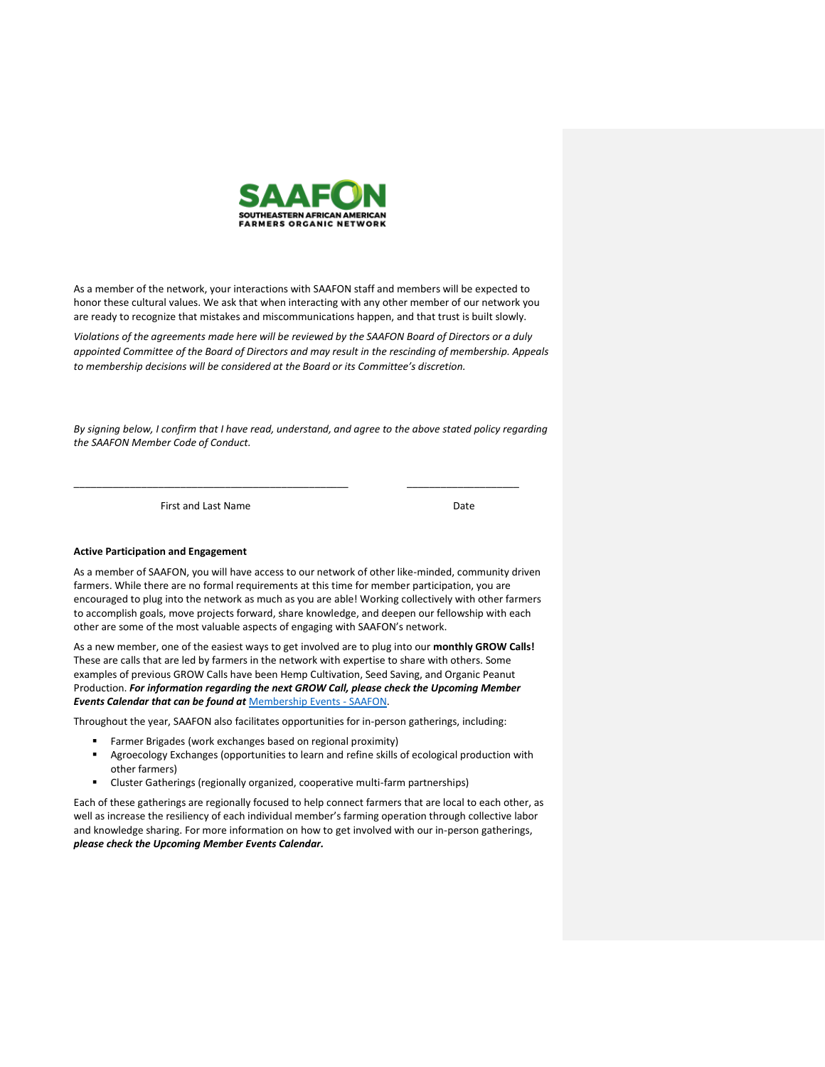

As a member of the network, your interactions with SAAFON staff and members will be expected to honor these cultural values. We ask that when interacting with any other member of our network you are ready to recognize that mistakes and miscommunications happen, and that trust is built slowly.

*Violations of the agreements made here will be reviewed by the SAAFON Board of Directors or a duly appointed Committee of the Board of Directors and may result in the rescinding of membership. Appeals to membership decisions will be considered at the Board or its Committee's discretion.*

*By signing below, I confirm that I have read, understand, and agree to the above stated policy regarding the SAAFON Member Code of Conduct.* 

\_\_\_\_\_\_\_\_\_\_\_\_\_\_\_\_\_\_\_\_\_\_\_\_\_\_\_\_\_\_\_\_\_\_\_\_\_\_\_\_\_\_\_\_\_\_\_\_\_ \_\_\_\_\_\_\_\_\_\_\_\_\_\_\_\_\_\_\_\_

First and Last Name Date

#### **Active Participation and Engagement**

As a member of SAAFON, you will have access to our network of other like-minded, community driven farmers. While there are no formal requirements at this time for member participation, you are encouraged to plug into the network as much as you are able! Working collectively with other farmers to accomplish goals, move projects forward, share knowledge, and deepen our fellowship with each other are some of the most valuable aspects of engaging with SAAFON's network.

As a new member, one of the easiest ways to get involved are to plug into our **monthly GROW Calls!** These are calls that are led by farmers in the network with expertise to share with others. Some examples of previous GROW Calls have been Hemp Cultivation, Seed Saving, and Organic Peanut Production. *For information regarding the next GROW Call, please check the Upcoming Member Events Calendar that can be found at* [Membership Events -](https://saafon.org/membership-events/) SAAFON.

Throughout the year, SAAFON also facilitates opportunities for in-person gatherings, including:

- Farmer Brigades (work exchanges based on regional proximity)
- Agroecology Exchanges (opportunities to learn and refine skills of ecological production with other farmers)
- Cluster Gatherings (regionally organized, cooperative multi-farm partnerships)

Each of these gatherings are regionally focused to help connect farmers that are local to each other, as well as increase the resiliency of each individual member's farming operation through collective labor and knowledge sharing. For more information on how to get involved with our in-person gatherings, *please check the Upcoming Member Events Calendar.*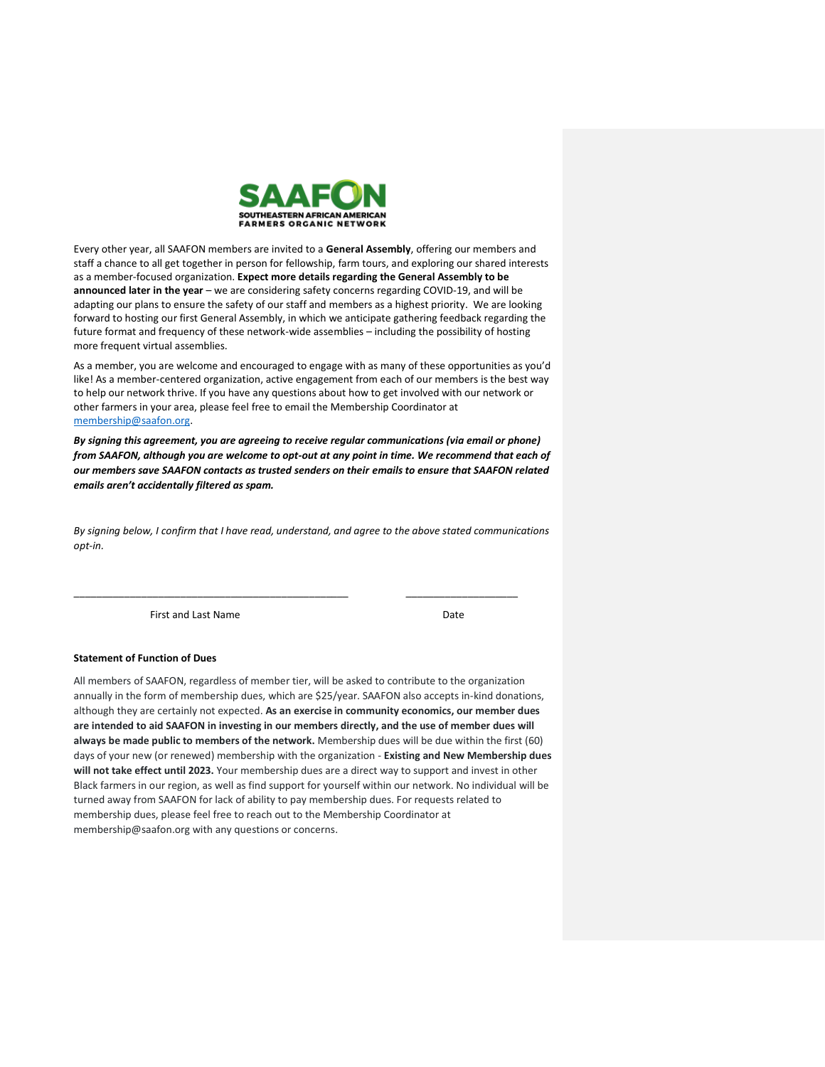

Every other year, all SAAFON members are invited to a **General Assembly**, offering our members and staff a chance to all get together in person for fellowship, farm tours, and exploring our shared interests as a member-focused organization. **Expect more details regarding the General Assembly to be announced later in the year** – we are considering safety concerns regarding COVID-19, and will be adapting our plans to ensure the safety of our staff and members as a highest priority. We are looking forward to hosting our first General Assembly, in which we anticipate gathering feedback regarding the future format and frequency of these network-wide assemblies – including the possibility of hosting more frequent virtual assemblies.

As a member, you are welcome and encouraged to engage with as many of these opportunities as you'd like! As a member-centered organization, active engagement from each of our members is the best way to help our network thrive. If you have any questions about how to get involved with our network or other farmers in your area, please feel free to email the Membership Coordinator at [membership@saafon.org.](mailto:Sjohnson@saafon.org)

*By signing this agreement, you are agreeing to receive regular communications (via email or phone) from SAAFON, although you are welcome to opt-out at any point in time. We recommend that each of our members save SAAFON contacts as trusted senders on their emails to ensure that SAAFON related emails aren't accidentally filtered as spam.* 

*By signing below, I confirm that I have read, understand, and agree to the above stated communications opt-in.* 

\_\_\_\_\_\_\_\_\_\_\_\_\_\_\_\_\_\_\_\_\_\_\_\_\_\_\_\_\_\_\_\_\_\_\_\_\_\_\_\_\_\_\_\_\_\_\_\_\_ \_\_\_\_\_\_\_\_\_\_\_\_\_\_\_\_\_\_\_\_

First and Last Name Date

#### **Statement of Function of Dues**

All members of SAAFON, regardless of member tier, will be asked to contribute to the organization annually in the form of membership dues, which are \$25/year. SAAFON also accepts in-kind donations, although they are certainly not expected. **As an exercise in community economics, our member dues are intended to aid SAAFON in investing in our members directly, and the use of member dues will always be made public to members of the network.** Membership dues will be due within the first (60) days of your new (or renewed) membership with the organization - **Existing and New Membership dues will not take effect until 2023.** Your membership dues are a direct way to support and invest in other Black farmers in our region, as well as find support for yourself within our network. No individual will be turned away from SAAFON for lack of ability to pay membership dues. For requests related to membership dues, please feel free to reach out to the Membership Coordinator at membership@saafon.org with any questions or concerns.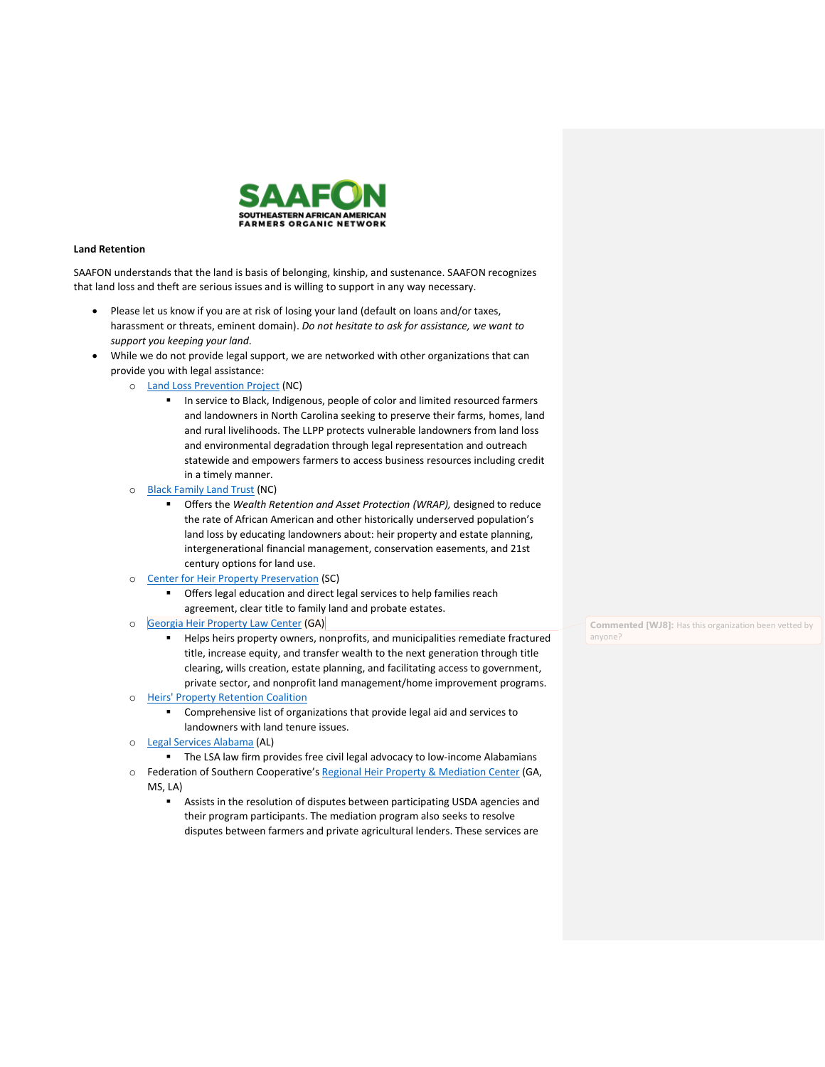

#### **Land Retention**

SAAFON understands that the land is basis of belonging, kinship, and sustenance. SAAFON recognizes that land loss and theft are serious issues and is willing to support in any way necessary.

- Please let us know if you are at risk of losing your land (default on loans and/or taxes, harassment or threats, eminent domain). *Do not hesitate to ask for assistance, we want to support you keeping your land.*
- While we do not provide legal support, we are networked with other organizations that can provide you with legal assistance:
	- o [Land Loss Prevention Project](https://www.landloss.org/) (NC)
		- In service to Black, Indigenous, people of color and limited resourced farmers and landowners in North Carolina seeking to preserve their farms, homes, land and rural livelihoods. The LLPP protects vulnerable landowners from land loss and environmental degradation through legal representation and outreach statewide and empowers farmers to access business resources including credit in a timely manner.
	- o [Black Family Land Trust](https://www.bflt.org/) (NC)
		- Offers the *Wealth Retention and Asset Protection (WRAP),* designed to reduce the rate of African American and other historically underserved population's land loss by educating landowners about: heir property and estate planning, intergenerational financial management, conservation easements, and 21st century options for land use.
	- o [Center for Heir Property Preservation](https://www.heirsproperty.org/) (SC)
		- Offers legal education and direct legal services to help families reach agreement, clear title to family land and probate estates.
	- o [Georgia Heir Property Law Center](https://www.gaheirsproperty.org/) (GA)
		- Helps heirs property owners, nonprofits, and municipalities remediate fractured title, increase equity, and transfer wealth to the next generation through title clearing, wills creation, estate planning, and facilitating access to government, private sector, and nonprofit land management/home improvement programs.
	- o [Heirs' Property Retention Coalition](http://www.hprc.southerncoalition.org/?q=node/6)
		- Comprehensive list of organizations that provide legal aid and services to landowners with land tenure issues.
	- o [Legal Services Alabama](https://legalservicesalabama.org/) (AL)
		- The LSA law firm provides free civil legal advocacy to low-income Alabamians
	- o Federation of Southern Cooperative's [Regional Heir Property & Mediation Center](https://www.federation.coop/copy-of-regional-centers) (GA, MS, LA)
		- Assists in the resolution of disputes between participating USDA agencies and their program participants. The mediation program also seeks to resolve disputes between farmers and private agricultural lenders. These services are

**Commented [WJ8]:** Has this organization been vetted by anyone?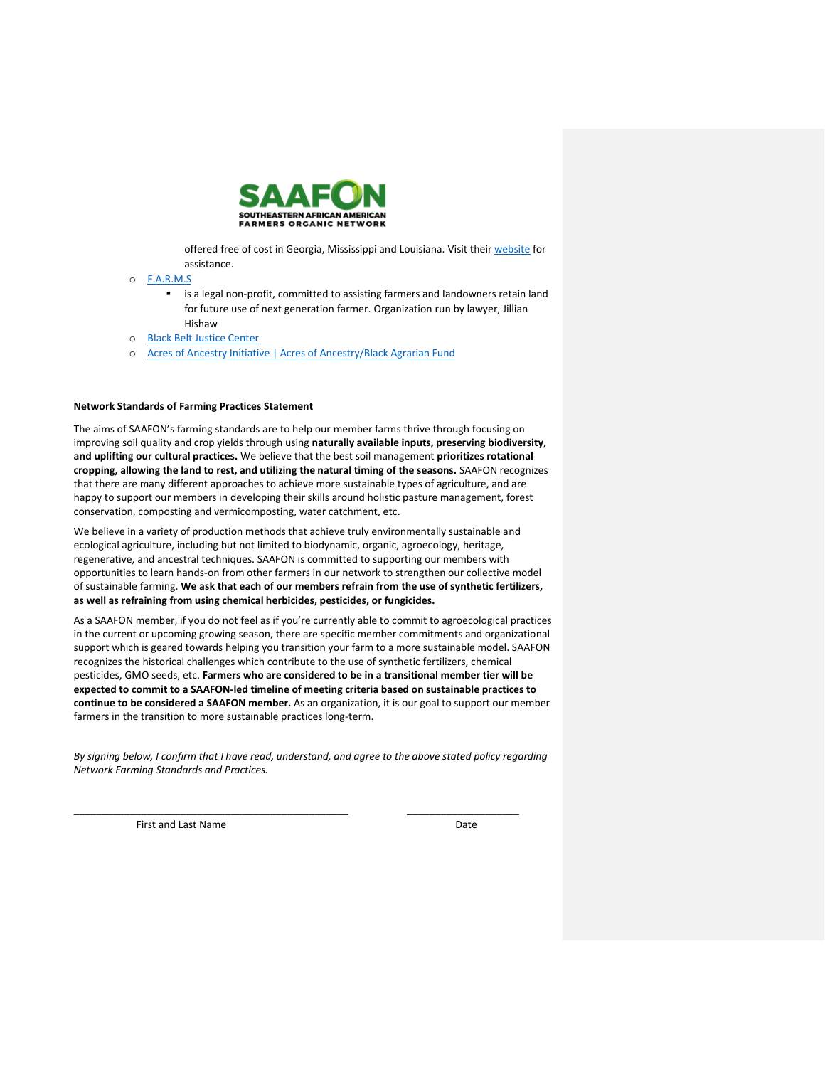

offered free of cost in Georgia, Mississippi and Louisiana. Visit thei[r website](https://www.federation.coop/copy-of-regional-centers) for assistance.

- o [F.A.R.M.S](https://30000acres.org/)
	- is a legal non-profit, committed to assisting farmers and landowners retain land for future use of next generation farmer. Organization run by lawyer, Jillian Hishaw
- o [Black Belt Justice Center](https://acresofancestry.networkforgood.com/projects/100534-main-giving-page)
- o [Acres of Ancestry Initiative | Acres of Ancestry/Black Agrarian Fund](https://acresofancestry.org/)

## **Network Standards of Farming Practices Statement**

The aims of SAAFON's farming standards are to help our member farms thrive through focusing on improving soil quality and crop yields through using **naturally available inputs, preserving biodiversity, and uplifting our cultural practices.** We believe that the best soil management **prioritizes rotational cropping, allowing the land to rest, and utilizing the natural timing of the seasons.** SAAFON recognizes that there are many different approaches to achieve more sustainable types of agriculture, and are happy to support our members in developing their skills around holistic pasture management, forest conservation, composting and vermicomposting, water catchment, etc.

We believe in a variety of production methods that achieve truly environmentally sustainable and ecological agriculture, including but not limited to biodynamic, organic, agroecology, heritage, regenerative, and ancestral techniques. SAAFON is committed to supporting our members with opportunities to learn hands-on from other farmers in our network to strengthen our collective model of sustainable farming. **We ask that each of our members refrain from the use of synthetic fertilizers, as well as refraining from using chemical herbicides, pesticides, or fungicides.** 

As a SAAFON member, if you do not feel as if you're currently able to commit to agroecological practices in the current or upcoming growing season, there are specific member commitments and organizational support which is geared towards helping you transition your farm to a more sustainable model. SAAFON recognizes the historical challenges which contribute to the use of synthetic fertilizers, chemical pesticides, GMO seeds, etc. **Farmers who are considered to be in a transitional member tier will be expected to commit to a SAAFON-led timeline of meeting criteria based on sustainable practices to continue to be considered a SAAFON member.** As an organization, it is our goal to support our member farmers in the transition to more sustainable practices long-term.

*By signing below, I confirm that I have read, understand, and agree to the above stated policy regarding Network Farming Standards and Practices.* 

\_\_\_\_\_\_\_\_\_\_\_\_\_\_\_\_\_\_\_\_\_\_\_\_\_\_\_\_\_\_\_\_\_\_\_\_\_\_\_\_\_\_\_\_\_\_\_\_\_ \_\_\_\_\_\_\_\_\_\_\_\_\_\_\_\_\_\_\_\_

First and Last Name Date Date Date